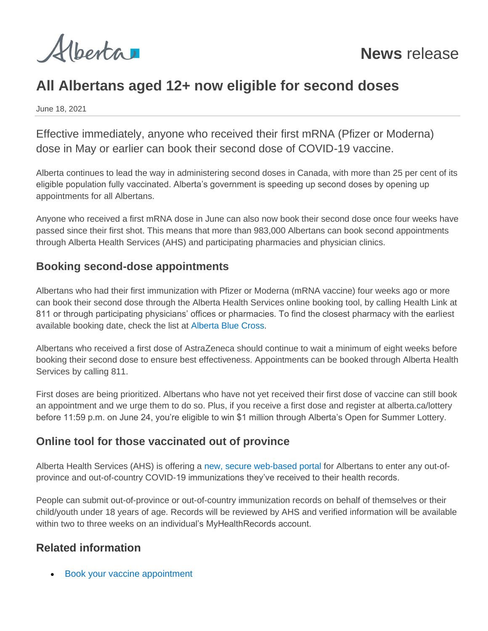

# **All Albertans aged 12+ now eligible for second doses**

June 18, 2021

Effective immediately, anyone who received their first mRNA (Pfizer or Moderna) dose in May or earlier can book their second dose of COVID-19 vaccine.

Alberta continues to lead the way in administering second doses in Canada, with more than 25 per cent of its eligible population fully vaccinated. Alberta's government is speeding up second doses by opening up appointments for all Albertans.

Anyone who received a first mRNA dose in June can also now book their second dose once four weeks have passed since their first shot. This means that more than 983,000 Albertans can book second appointments through Alberta Health Services (AHS) and participating pharmacies and physician clinics.

#### **Booking second-dose appointments**

Albertans who had their first immunization with Pfizer or Moderna (mRNA vaccine) four weeks ago or more can book their second dose through the Alberta Health Services online booking tool, by calling Health Link at 811 or through participating physicians' offices or pharmacies. To find the closest pharmacy with the earliest available booking date, check the list at [Alberta Blue Cross.](https://can01.safelinks.protection.outlook.com/?url=http%3A%2F%2Fwww.ab.bluecross.ca%2F&data=04%7C01%7CBin.Wu%40gov.ab.ca%7C87b3981c64e44e41ccb908d9328e7d54%7C2bb51c06af9b42c58bf53c3b7b10850b%7C0%7C0%7C637596409839977423%7CUnknown%7CTWFpbGZsb3d8eyJWIjoiMC4wLjAwMDAiLCJQIjoiV2luMzIiLCJBTiI6Ik1haWwiLCJXVCI6Mn0%3D%7C1000&sdata=3WpYybMjRzhfWw%2FlZlsmq7hfUzmYr10pmKVLVt1QmNg%3D&reserved=0)

Albertans who received a first dose of AstraZeneca should continue to wait a minimum of eight weeks before booking their second dose to ensure best effectiveness. Appointments can be booked through Alberta Health Services by calling 811.

First doses are being prioritized. Albertans who have not yet received their first dose of vaccine can still book an appointment and we urge them to do so. Plus, if you receive a first dose and register at alberta.ca/lottery before 11:59 p.m. on June 24, you're eligible to win \$1 million through Alberta's Open for Summer Lottery.

### **Online tool for those vaccinated out of province**

Alberta Health Services (AHS) is offering a [new, secure web-based portal](https://can01.safelinks.protection.outlook.com/?url=http%3A%2F%2Fwww.ahs.ca%2Fvaccineregistry&data=04%7C01%7CBin.Wu%40gov.ab.ca%7C87b3981c64e44e41ccb908d9328e7d54%7C2bb51c06af9b42c58bf53c3b7b10850b%7C0%7C0%7C637596409839977423%7CUnknown%7CTWFpbGZsb3d8eyJWIjoiMC4wLjAwMDAiLCJQIjoiV2luMzIiLCJBTiI6Ik1haWwiLCJXVCI6Mn0%3D%7C1000&sdata=dOxL3BtTjv1EHeRlkLTuznZteCCRQjJLMkP69UH5kIc%3D&reserved=0) for Albertans to enter any out-ofprovince and out-of-country COVID-19 immunizations they've received to their health records.

People can submit out-of-province or out-of-country immunization records on behalf of themselves or their child/youth under 18 years of age. Records will be reviewed by AHS and verified information will be available within two to three weeks on an individual's MyHealthRecords account.

### **Related information**

• [Book your vaccine appointment](https://www.alberta.ca/covid19-vaccine.aspx)